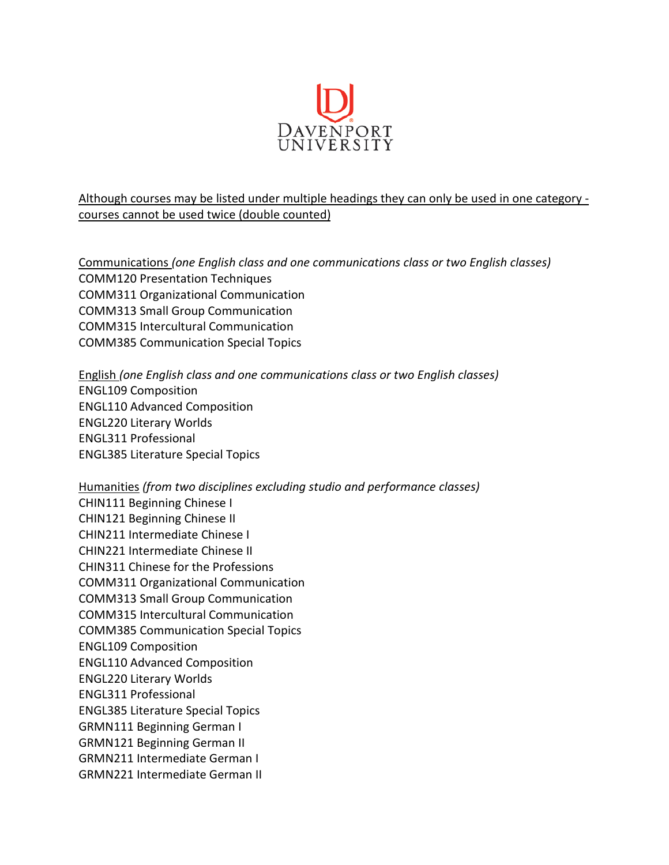

Although courses may be listed under multiple headings they can only be used in one category courses cannot be used twice (double counted)

Communications *(one English class and one communications class or two English classes)* COMM120 Presentation Techniques COMM311 Organizational Communication COMM313 Small Group Communication COMM315 Intercultural Communication COMM385 Communication Special Topics

English *(one English class and one communications class or two English classes)* ENGL109 Composition ENGL110 Advanced Composition ENGL220 Literary Worlds ENGL311 Professional ENGL385 Literature Special Topics

Humanities *(from two disciplines excluding studio and performance classes)* CHIN111 Beginning Chinese I CHIN121 Beginning Chinese II CHIN211 Intermediate Chinese I CHIN221 Intermediate Chinese II CHIN311 Chinese for the Professions COMM311 Organizational Communication COMM313 Small Group Communication COMM315 Intercultural Communication COMM385 Communication Special Topics ENGL109 Composition ENGL110 Advanced Composition ENGL220 Literary Worlds ENGL311 Professional ENGL385 Literature Special Topics GRMN111 Beginning German I GRMN121 Beginning German II GRMN211 Intermediate German I GRMN221 Intermediate German II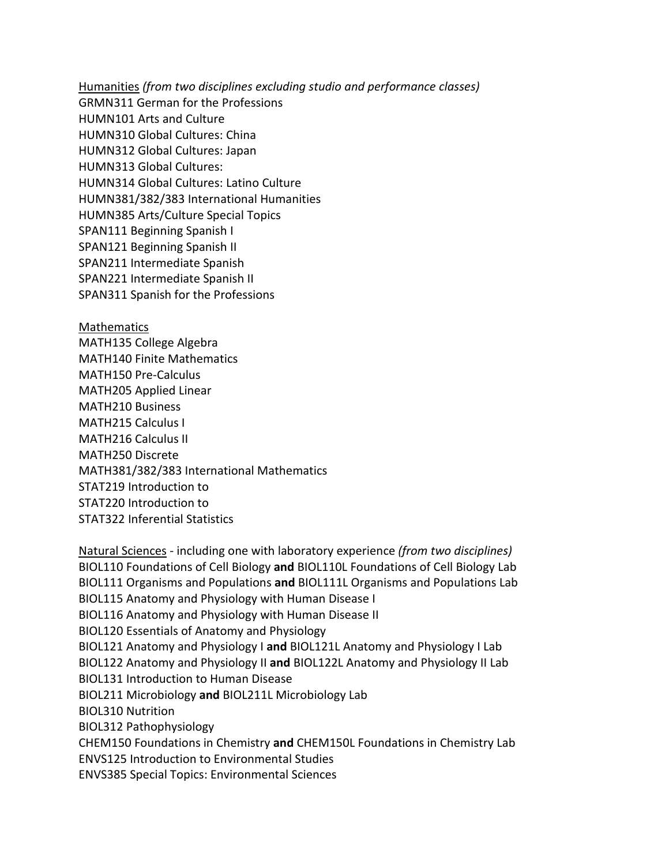Humanities *(from two disciplines excluding studio and performance classes)* GRMN311 German for the Professions HUMN101 Arts and Culture HUMN310 Global Cultures: China HUMN312 Global Cultures: Japan HUMN313 Global Cultures: HUMN314 Global Cultures: Latino Culture HUMN381/382/383 International Humanities HUMN385 Arts/Culture Special Topics SPAN111 Beginning Spanish I SPAN121 Beginning Spanish II SPAN211 Intermediate Spanish SPAN221 Intermediate Spanish II SPAN311 Spanish for the Professions

Mathematics MATH135 College Algebra MATH140 Finite Mathematics MATH150 Pre-Calculus MATH205 Applied Linear MATH210 Business MATH215 Calculus I MATH216 Calculus II MATH250 Discrete MATH381/382/383 International Mathematics STAT219 Introduction to STAT220 Introduction to STAT322 Inferential Statistics

Natural Sciences - including one with laboratory experience *(from two disciplines)* BIOL110 Foundations of Cell Biology **and** BIOL110L Foundations of Cell Biology Lab BIOL111 Organisms and Populations **and** BIOL111L Organisms and Populations Lab BIOL115 Anatomy and Physiology with Human Disease I BIOL116 Anatomy and Physiology with Human Disease II BIOL120 Essentials of Anatomy and Physiology BIOL121 Anatomy and Physiology I **and** BIOL121L Anatomy and Physiology I Lab BIOL122 Anatomy and Physiology II **and** BIOL122L Anatomy and Physiology II Lab BIOL131 Introduction to Human Disease BIOL211 Microbiology **and** BIOL211L Microbiology Lab BIOL310 Nutrition BIOL312 Pathophysiology CHEM150 Foundations in Chemistry **and** CHEM150L Foundations in Chemistry Lab ENVS125 Introduction to Environmental Studies ENVS385 Special Topics: Environmental Sciences